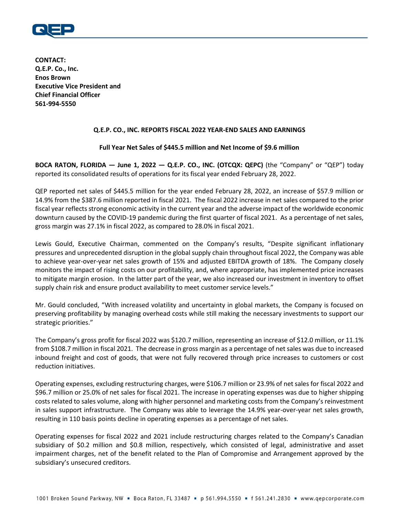

**CONTACT: Q.E.P. Co., Inc. Enos Brown Executive Vice President and Chief Financial Officer 561-994-5550**

### **Q.E.P. CO., INC. REPORTS FISCAL 2022 YEAR-END SALES AND EARNINGS**

### **Full Year Net Sales of \$445.5 million and Net Income of \$9.6 million**

**BOCA RATON, FLORIDA — June 1, 2022 — Q.E.P. CO., INC. (OTCQX: QEPC)** (the "Company" or "QEP") today reported its consolidated results of operations for its fiscal year ended February 28, 2022.

QEP reported net sales of \$445.5 million for the year ended February 28, 2022, an increase of \$57.9 million or 14.9% from the \$387.6 million reported in fiscal 2021. The fiscal 2022 increase in net sales compared to the prior fiscal year reflects strong economic activity in the current year and the adverse impact of the worldwide economic downturn caused by the COVID-19 pandemic during the first quarter of fiscal 2021. As a percentage of net sales, gross margin was 27.1% in fiscal 2022, as compared to 28.0% in fiscal 2021.

Lewis Gould, Executive Chairman, commented on the Company's results, "Despite significant inflationary pressures and unprecedented disruption in the global supply chain throughout fiscal 2022, the Company was able to achieve year-over-year net sales growth of 15% and adjusted EBITDA growth of 18%. The Company closely monitors the impact of rising costs on our profitability, and, where appropriate, has implemented price increases to mitigate margin erosion. In the latter part of the year, we also increased our investment in inventory to offset supply chain risk and ensure product availability to meet customer service levels."

Mr. Gould concluded, "With increased volatility and uncertainty in global markets, the Company is focused on preserving profitability by managing overhead costs while still making the necessary investments to support our strategic priorities."

The Company's gross profit for fiscal 2022 was \$120.7 million, representing an increase of \$12.0 million, or 11.1% from \$108.7 million in fiscal 2021. The decrease in gross margin as a percentage of net sales was due to increased inbound freight and cost of goods, that were not fully recovered through price increases to customers or cost reduction initiatives.

Operating expenses, excluding restructuring charges, were \$106.7 million or 23.9% of net sales for fiscal 2022 and \$96.7 million or 25.0% of net sales for fiscal 2021. The increase in operating expenses was due to higher shipping costs related to sales volume, along with higher personnel and marketing costs from the Company's reinvestment in sales support infrastructure. The Company was able to leverage the 14.9% year-over-year net sales growth, resulting in 110 basis points decline in operating expenses as a percentage of net sales.

Operating expenses for fiscal 2022 and 2021 include restructuring charges related to the Company's Canadian subsidiary of \$0.2 million and \$0.8 million, respectively, which consisted of legal, administrative and asset impairment charges, net of the benefit related to the Plan of Compromise and Arrangement approved by the subsidiary's unsecured creditors.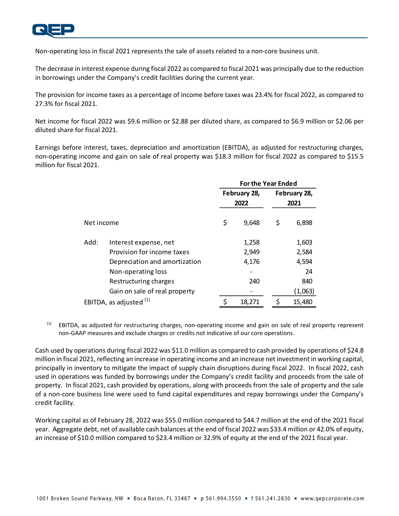

Non-operating loss in fiscal 2021 represents the sale of assets related to a non-core business unit.

The decrease in interest expense during fiscal 2022 as compared to fiscal 2021 was principally due to the reduction in borrowings under the Company's credit facilities during the current year.

The provision for income taxes as a percentage of income before taxes was 23.4% for fiscal 2022, as compared to 27.3% for fiscal 2021.

Net income for fiscal 2022 was \$9.6 million or \$2.88 per diluted share, as compared to \$6.9 million or \$2.06 per diluted share for fiscal 2021.

Earnings before interest, taxes, depreciation and amortization (EBITDA), as adjusted for restructuring charges, non-operating income and gain on sale of real property was \$18.3 million for fiscal 2022 as compared to \$15.5 million for fiscal 2021.

|                         |                               | <b>For the Year Ended</b> |                      |                      |         |  |
|-------------------------|-------------------------------|---------------------------|----------------------|----------------------|---------|--|
|                         |                               |                           | February 28,<br>2022 | February 28,<br>2021 |         |  |
| Net income              |                               | \$                        | 9,648                | \$                   | 6,898   |  |
| Add:                    | Interest expense, net         |                           | 1,258                |                      | 1,603   |  |
|                         | Provision for income taxes    |                           | 2,949                |                      | 2,584   |  |
|                         | Depreciation and amortization |                           | 4,176                |                      | 4,594   |  |
|                         | Non-operating loss            |                           |                      |                      | 24      |  |
|                         | Restructuring charges         |                           | 240                  |                      | 840     |  |
|                         | Gain on sale of real property |                           |                      |                      | (1,063) |  |
| EBITDA, as adjusted (1) |                               |                           | 18,271               | \$                   | 15,480  |  |

<sup>(1)</sup> EBITDA, as adjusted for restructuring charges, non-operating income and gain on sale of real property represent non-GAAP measures and exclude charges or credits not indicative of our core operations.

Cash used by operations during fiscal 2022 was \$11.0 million as compared to cash provided by operations of \$24.8 million in fiscal 2021, reflecting an increase in operating income and an increase net investment in working capital, principally in inventory to mitigate the impact of supply chain disruptions during fiscal 2022. In fiscal 2022, cash used in operations was funded by borrowings under the Company's credit facility and proceeds from the sale of property. In fiscal 2021, cash provided by operations, along with proceeds from the sale of property and the sale of a non-core business line were used to fund capital expenditures and repay borrowings under the Company's credit facility.

Working capital as of February 28, 2022 was \$55.0 million compared to \$44.7 million at the end of the 2021 fiscal year. Aggregate debt, net of available cash balances at the end of fiscal 2022 was \$33.4 million or 42.0% of equity, an increase of \$10.0 million compared to \$23.4 million or 32.9% of equity at the end of the 2021 fiscal year.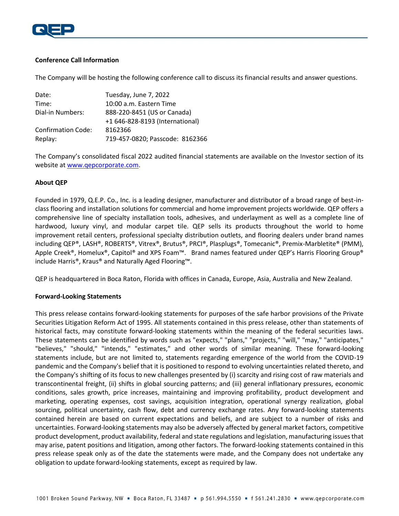

### **Conference Call Information**

The Company will be hosting the following conference call to discuss its financial results and answer questions.

| Date:                     | Tuesday, June 7, 2022           |  |  |  |  |
|---------------------------|---------------------------------|--|--|--|--|
| Time:                     | 10:00 a.m. Eastern Time         |  |  |  |  |
| Dial-in Numbers:          | 888-220-8451 (US or Canada)     |  |  |  |  |
|                           | +1 646-828-8193 (International) |  |  |  |  |
| <b>Confirmation Code:</b> | 8162366                         |  |  |  |  |
| Replay:                   | 719-457-0820; Passcode: 8162366 |  |  |  |  |

The Company's consolidated fiscal 2022 audited financial statements are available on the Investor section of its website at [www.qepcorporate.com.](http://www.qepcorporate.com/)

## **About QEP**

Founded in 1979, Q.E.P. Co., Inc. is a leading designer, manufacturer and distributor of a broad range of best-inclass flooring and installation solutions for commercial and home improvement projects worldwide. QEP offers a comprehensive line of specialty installation tools, adhesives, and underlayment as well as a complete line of hardwood, luxury vinyl, and modular carpet tile. QEP sells its products throughout the world to home improvement retail centers, professional specialty distribution outlets, and flooring dealers under brand names including QEP®, LASH®, ROBERTS®, Vitrex®, Brutus®, PRCI®, Plasplugs®, Tomecanic®, Premix-Marbletite® (PMM), Apple Creek®, Homelux®, Capitol® and XPS Foam™. Brand names featured under QEP's Harris Flooring Group® include Harris®, Kraus® and Naturally Aged Flooring™.

QEP is headquartered in Boca Raton, Florida with offices in Canada, Europe, Asia, Australia and New Zealand.

#### **Forward-Looking Statements**

This press release contains forward-looking statements for purposes of the safe harbor provisions of the Private Securities Litigation Reform Act of 1995. All statements contained in this press release, other than statements of historical facts, may constitute forward-looking statements within the meaning of the federal securities laws. These statements can be identified by words such as "expects," "plans," "projects," "will," "may," "anticipates," "believes," "should," "intends," "estimates," and other words of similar meaning. These forward-looking statements include, but are not limited to, statements regarding emergence of the world from the COVID-19 pandemic and the Company's belief that it is positioned to respond to evolving uncertainties related thereto, and the Company's shifting of its focus to new challenges presented by (i) scarcity and rising cost of raw materials and transcontinental freight, (ii) shifts in global sourcing patterns; and (iii) general inflationary pressures, economic conditions, sales growth, price increases, maintaining and improving profitability, product development and marketing, operating expenses, cost savings, acquisition integration, operational synergy realization, global sourcing, political uncertainty, cash flow, debt and currency exchange rates. Any forward-looking statements contained herein are based on current expectations and beliefs, and are subject to a number of risks and uncertainties. Forward-looking statements may also be adversely affected by general market factors, competitive product development, product availability, federal and state regulations and legislation, manufacturing issues that may arise, patent positions and litigation, among other factors. The forward-looking statements contained in this press release speak only as of the date the statements were made, and the Company does not undertake any obligation to update forward-looking statements, except as required by law.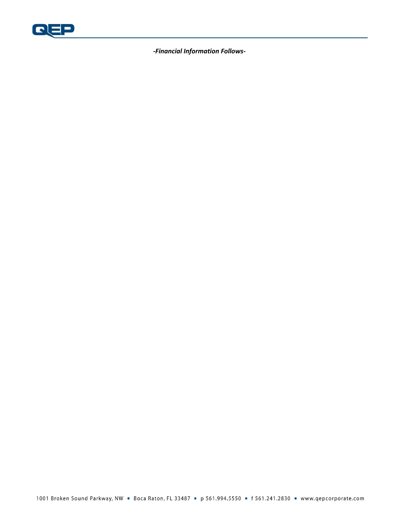

*-Financial Information Follows-*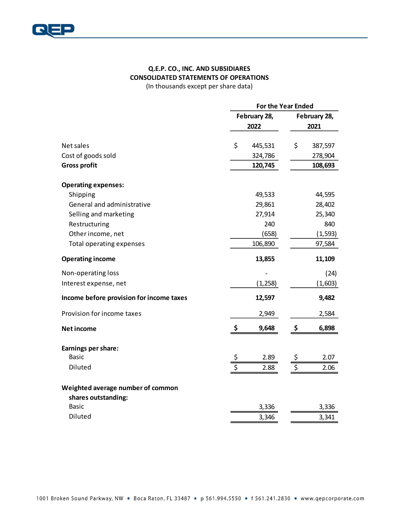

## **Q.E.P. CO., INC. AND SUBSIDIARES CONSOLIDATED STATEMENTS OF OPERATIONS**

(In thousands except per share data)

|                                          |                          | <b>For the Year Ended</b> |                          |          |  |  |
|------------------------------------------|--------------------------|---------------------------|--------------------------|----------|--|--|
|                                          |                          | February 28,              | February 28,             |          |  |  |
|                                          |                          | 2022                      |                          | 2021     |  |  |
|                                          |                          |                           |                          |          |  |  |
| Net sales                                | \$                       | 445,531                   | \$                       | 387,597  |  |  |
| Cost of goods sold                       |                          | 324,786                   |                          | 278,904  |  |  |
| <b>Gross profit</b>                      |                          | 120,745                   |                          | 108,693  |  |  |
| <b>Operating expenses:</b>               |                          |                           |                          |          |  |  |
| Shipping                                 |                          | 49,533                    |                          | 44,595   |  |  |
| General and administrative               |                          | 29,861                    |                          | 28,402   |  |  |
| Selling and marketing                    |                          | 27,914                    |                          | 25,340   |  |  |
| Restructuring                            |                          | 240                       |                          | 840      |  |  |
| Other income, net                        |                          | (658)                     |                          | (1, 593) |  |  |
| Total operating expenses                 |                          | 106,890                   |                          | 97,584   |  |  |
| <b>Operating income</b>                  |                          | 13,855                    |                          | 11,109   |  |  |
| Non-operating loss                       |                          |                           |                          | (24)     |  |  |
| Interest expense, net                    |                          | (1, 258)                  |                          | (1,603)  |  |  |
| Income before provision for income taxes |                          | 12,597                    |                          | 9,482    |  |  |
| Provision for income taxes               |                          | 2,949                     |                          | 2,584    |  |  |
| <b>Net income</b>                        | \$                       | 9,648                     | \$                       | 6,898    |  |  |
| Earnings per share:                      |                          |                           |                          |          |  |  |
| <b>Basic</b>                             |                          | 2.89                      | \$                       | 2.07     |  |  |
| Diluted                                  | $\overline{\mathcal{S}}$ | 2.88                      | $\overline{\mathcal{S}}$ | 2.06     |  |  |
| Weighted average number of common        |                          |                           |                          |          |  |  |
| shares outstanding:                      |                          |                           |                          |          |  |  |
| <b>Basic</b>                             |                          | 3,336                     |                          | 3,336    |  |  |
| Diluted                                  |                          | 3,346                     |                          | 3,341    |  |  |
|                                          |                          |                           |                          |          |  |  |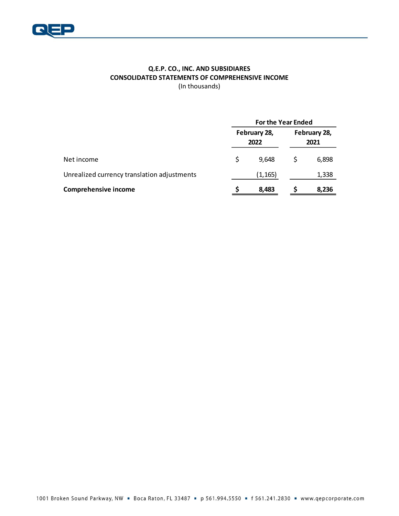

## **Q.E.P. CO., INC. AND SUBSIDIARES CONSOLIDATED STATEMENTS OF COMPREHENSIVE INCOME** (In thousands)

|                                             |     | <b>For the Year Ended</b> |                      |       |  |  |
|---------------------------------------------|-----|---------------------------|----------------------|-------|--|--|
|                                             |     | February 28,<br>2022      | February 28,<br>2021 |       |  |  |
| Net income                                  | \$. | 9.648                     | S                    | 6,898 |  |  |
| Unrealized currency translation adjustments |     | (1, 165)                  |                      | 1,338 |  |  |
| <b>Comprehensive income</b>                 | S   | 8,483                     |                      | 8,236 |  |  |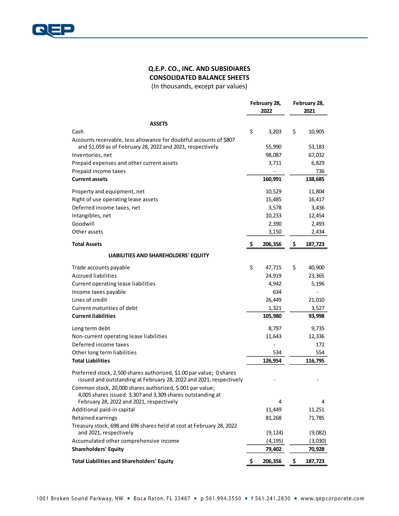

## **Q.E.P. CO., INC. AND SUBSIDIARES CONSOLIDATED BALANCE SHEETS**

(In thousands, except par values)

|                                                                                                                                 |     | February 28, | February 28, |         |  |
|---------------------------------------------------------------------------------------------------------------------------------|-----|--------------|--------------|---------|--|
|                                                                                                                                 |     | 2022         |              | 2021    |  |
| <b>ASSETS</b>                                                                                                                   |     |              |              |         |  |
| Cash                                                                                                                            | \$  | 3,203        | \$           | 10,905  |  |
| Accounts receivable, less allowance for doubtful accounts of \$807                                                              |     |              |              |         |  |
| and \$1,059 as of February 28, 2022 and 2021, respectively                                                                      |     | 55,990       |              | 53,183  |  |
| Inventories, net                                                                                                                |     | 98,087       |              | 67,032  |  |
| Prepaid expenses and other current assets                                                                                       |     | 3,711        |              | 6,829   |  |
| Prepaid income taxes                                                                                                            |     |              |              | 736     |  |
| <b>Current assets</b>                                                                                                           |     | 160,991      |              | 138,685 |  |
| Property and equipment, net                                                                                                     |     | 10,529       |              | 11,804  |  |
| Right of use operating lease assets                                                                                             |     | 15,485       |              | 16,417  |  |
| Deferred income taxes, net                                                                                                      |     | 3,578        |              | 3,436   |  |
| Intangibles, net                                                                                                                |     | 10,233       |              | 12,454  |  |
| Goodwill                                                                                                                        |     | 2,390        |              | 2,493   |  |
| Other assets                                                                                                                    |     | 3,150        |              | 2,434   |  |
| <b>Total Assets</b>                                                                                                             | -\$ | 206,356      | \$           | 187,723 |  |
| LIABILITIES AND SHAREHOLDERS' EQUITY                                                                                            |     |              |              |         |  |
|                                                                                                                                 |     |              |              |         |  |
| Trade accounts payable                                                                                                          | \$  | 47,715       | \$           | 40,900  |  |
| <b>Accrued liabilities</b>                                                                                                      |     | 24,919       |              | 23,365  |  |
| Current operating lease liabilities                                                                                             |     | 4,942        |              | 5,196   |  |
| Income taxes payable                                                                                                            |     | 634          |              |         |  |
| Lines of credit                                                                                                                 |     | 26,449       |              | 21,010  |  |
| Current maturities of debt                                                                                                      |     | 1,321        |              | 3,527   |  |
| <b>Current liabilities</b>                                                                                                      |     | 105,980      |              | 93,998  |  |
| Long term debt                                                                                                                  |     | 8,797        |              | 9,735   |  |
| Non-current operating lease liabilities                                                                                         |     | 11,643       |              | 12,336  |  |
| Deferred income taxes                                                                                                           |     |              |              | 172     |  |
| Other long term liabilities                                                                                                     |     | 534          |              | 554     |  |
| <b>Total Liabilities</b>                                                                                                        |     | 126,954      |              | 116,795 |  |
| Preferred stock, 2,500 shares authorized, \$1.00 par value; 0 shares                                                            |     |              |              |         |  |
| issued and outstanding at February 28, 2022 and 2021, respectively<br>Common stock, 20,000 shares authorized, \$.001 par value; |     |              |              |         |  |
| 4,005 shares issued: 3,307 and 3,309 shares outstanding at                                                                      |     |              |              |         |  |
| February 28, 2022 and 2021, respectively                                                                                        |     | 4            |              | 4       |  |
| Additional paid-in capital                                                                                                      |     | 11,449       |              | 11,251  |  |
| Retained earnings                                                                                                               |     | 81,268       |              | 71,785  |  |
| Treasury stock, 698 and 696 shares held at cost at February 28, 2022<br>and 2021, respectively                                  |     | (9, 124)     |              | (9,082) |  |
| Accumulated other comprehensive income                                                                                          |     | (4, 195)     |              | (3,030) |  |
| <b>Shareholders' Equity</b>                                                                                                     |     | 79,402       |              | 70,928  |  |
| <b>Total Liabilities and Shareholders' Equity</b>                                                                               |     |              |              |         |  |
|                                                                                                                                 | \$  | 206,356      | \$           | 187,723 |  |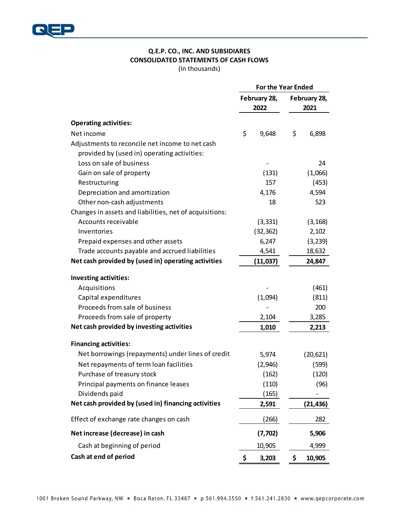

# **Q.E.P. CO., INC. AND SUBSIDIARES CONSOLIDATED STATEMENTS OF CASH FLOWS**

(In thousands)

|                                                         | <b>For the Year Ended</b> |              |           |  |
|---------------------------------------------------------|---------------------------|--------------|-----------|--|
|                                                         | February 28,              | February 28, |           |  |
|                                                         | 2022                      | 2021         |           |  |
| <b>Operating activities:</b>                            |                           |              |           |  |
| Net income                                              | \$<br>9,648               | \$           | 6,898     |  |
| Adjustments to reconcile net income to net cash         |                           |              |           |  |
| provided by (used in) operating activities:             |                           |              |           |  |
| Loss on sale of business                                |                           |              | 24        |  |
| Gain on sale of property                                | (131)                     |              | (1,066)   |  |
| Restructuring                                           | 157                       | (453)        |           |  |
| Depreciation and amortization                           | 4,176                     |              | 4,594     |  |
| Other non-cash adjustments                              | 18                        |              | 523       |  |
| Changes in assets and liabilities, net of acquisitions: |                           |              |           |  |
| Accounts receivable                                     | (3, 331)                  |              | (3, 168)  |  |
| Inventories                                             | (32, 362)                 |              | 2,102     |  |
| Prepaid expenses and other assets                       | 6,247                     |              | (3, 239)  |  |
| Trade accounts payable and accrued liabilities          | 4,541                     |              | 18,632    |  |
| Net cash provided by (used in) operating activities     | (11,037)                  |              | 24,847    |  |
| <b>Investing activities:</b>                            |                           |              |           |  |
| Acquisitions                                            |                           |              | (461)     |  |
| Capital expenditures                                    | (1,094)                   |              | (811)     |  |
| Proceeds from sale of business                          |                           |              | 200       |  |
| Proceeds from sale of property                          | 2,104                     |              | 3,285     |  |
| Net cash provided by investing activities               | 1,010                     |              | 2,213     |  |
| <b>Financing activities:</b>                            |                           |              |           |  |
| Net borrowings (repayments) under lines of credit       | 5,974                     |              | (20, 621) |  |
| Net repayments of term loan facilities                  | (2,946)                   |              | (599)     |  |
| Purchase of treasury stock                              | (162)                     |              | (120)     |  |
| Principal payments on finance leases                    | (110)                     |              | (96)      |  |
| Dividends paid                                          | (165)                     |              |           |  |
| Net cash provided by (used in) financing activities     | 2,591                     |              | (21, 436) |  |
| Effect of exchange rate changes on cash                 | (266)                     |              | 282       |  |
| Net increase (decrease) in cash                         | (7, 702)                  |              | 5,906     |  |
| Cash at beginning of period                             | 10,905                    |              | 4,999     |  |
| Cash at end of period                                   | \$<br>3,203               | \$           | 10,905    |  |